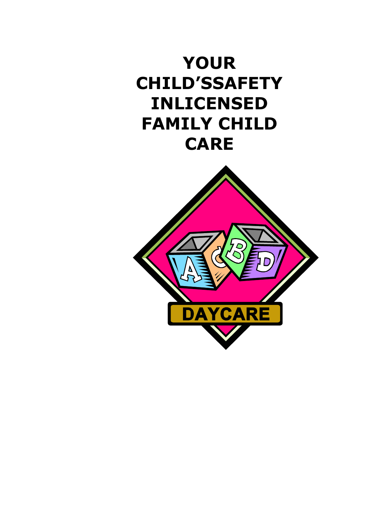

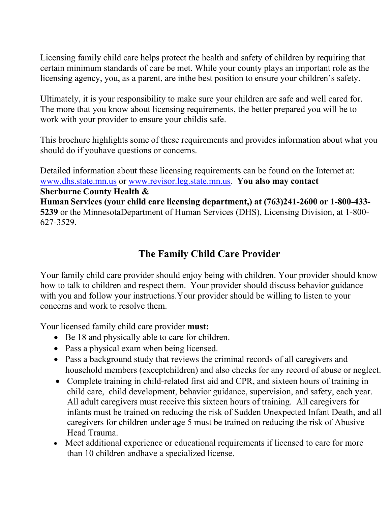Licensing family child care helps protect the health and safety of children by requiring that certain minimum standards of care be met. While your county plays an important role as the licensing agency, you, as a parent, are inthe best position to ensure your children's safety.

Ultimately, it is your responsibility to make sure your children are safe and well cared for. The more that you know about licensing requirements, the better prepared you will be to work with your provider to ensure your childis safe.

This brochure highlights some of these requirements and provides information about what you should do if youhave questions or concerns.

Detailed information about these licensing requirements can be found on the Internet at: [www.dhs.state.mn.us](http://www.dhs.state.mn.us/) or [www.revisor.leg.state.mn.us.](http://www.revisor.leg.state.mn.us/) **You also may contact Sherburne County Health & Human Services (your child care licensing department,) at (763)241-2600 or 1-800-433- 5239** or the MinnesotaDepartment of Human Services (DHS), Licensing Division, at 1-800- 627-3529.

# **The Family Child Care Provider**

Your family child care provider should enjoy being with children. Your provider should know how to talk to children and respect them. Your provider should discuss behavior guidance with you and follow your instructions.Your provider should be willing to listen to your concerns and work to resolve them.

Your licensed family child care provider **must:**

- Be 18 and physically able to care for children.
- Pass a physical exam when being licensed.
- Pass a background study that reviews the criminal records of all caregivers and household members (exceptchildren) and also checks for any record of abuse or neglect.
- Complete training in child-related first aid and CPR, and sixteen hours of training in child care, child development, behavior guidance, supervision, and safety, each year. All adult caregivers must receive this sixteen hours of training. All caregivers for infants must be trained on reducing the risk of Sudden Unexpected Infant Death, and all caregivers for children under age 5 must be trained on reducing the risk of Abusive Head Trauma.
- Meet additional experience or educational requirements if licensed to care for more than 10 children andhave a specialized license.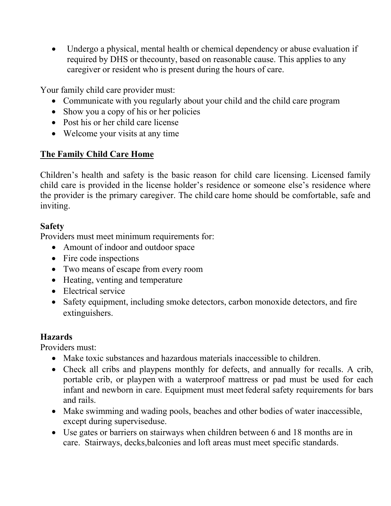Undergo a physical, mental health or chemical dependency or abuse evaluation if required by DHS or thecounty, based on reasonable cause. This applies to any caregiver or resident who is present during the hours of care.

Your family child care provider must:

- Communicate with you regularly about your child and the child care program
- Show you a copy of his or her policies
- Post his or her child care license
- Welcome your visits at any time

# **The Family Child Care Home**

Children's health and safety is the basic reason for child care licensing. Licensed family child care is provided in the license holder's residence or someone else's residence where the provider is the primary caregiver. The child care home should be comfortable, safe and inviting.

### **Safety**

Providers must meet minimum requirements for:

- Amount of indoor and outdoor space
- Fire code inspections
- Two means of escape from every room
- Heating, venting and temperature
- Electrical service
- Safety equipment, including smoke detectors, carbon monoxide detectors, and fire extinguishers.

# **Hazards**

Providers must:

- Make toxic substances and hazardous materials inaccessible to children.
- Check all cribs and playpens monthly for defects, and annually for recalls. A crib, portable crib, or playpen with a waterproof mattress or pad must be used for each infant and newborn in care. Equipment must meet federal safety requirements for bars and rails.
- Make swimming and wading pools, beaches and other bodies of water inaccessible, except during superviseduse.
- Use gates or barriers on stairways when children between 6 and 18 months are in care. Stairways, decks,balconies and loft areas must meet specific standards.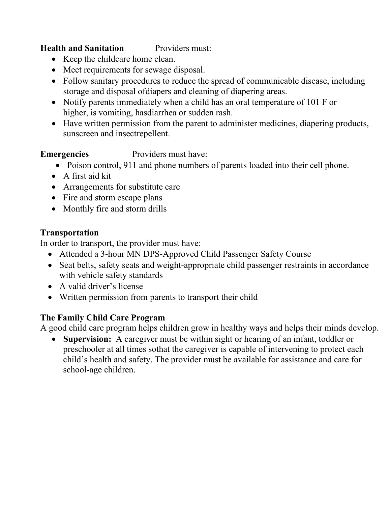#### **Health and Sanitation** Providers must:

- Keep the childcare home clean.
- Meet requirements for sewage disposal.
- Follow sanitary procedures to reduce the spread of communicable disease, including storage and disposal ofdiapers and cleaning of diapering areas.
- Notify parents immediately when a child has an oral temperature of 101 F or higher, is vomiting, hasdiarrhea or sudden rash.
- Have written permission from the parent to administer medicines, diapering products, sunscreen and insectrepellent.

**Emergencies** Providers must have:

- Poison control, 911 and phone numbers of parents loaded into their cell phone.
- A first aid kit
- Arrangements for substitute care
- Fire and storm escape plans
- Monthly fire and storm drills

#### **Transportation**

In order to transport, the provider must have:

- Attended a 3-hour MN DPS-Approved Child Passenger Safety Course
- Seat belts, safety seats and weight-appropriate child passenger restraints in accordance with vehicle safety standards
- A valid driver's license
- Written permission from parents to transport their child

### **The Family Child Care Program**

A good child care program helps children grow in healthy ways and helps their minds develop.

• **Supervision:** A caregiver must be within sight or hearing of an infant, toddler or preschooler at all times sothat the caregiver is capable of intervening to protect each child's health and safety. The provider must be available for assistance and care for school-age children.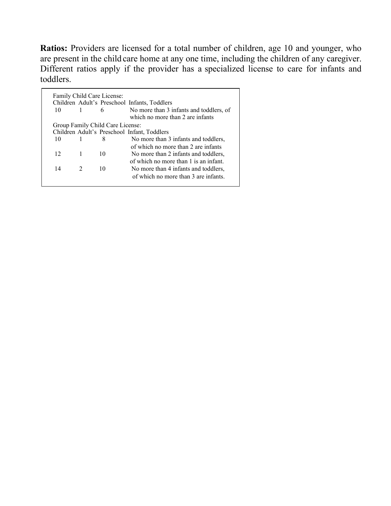**Ratios:** Providers are licensed for a total number of children, age 10 and younger, who are present in the child care home at any one time, including the children of any caregiver. Different ratios apply if the provider has a specialized license to care for infants and toddlers.

|                 |               |                                  | Children Adult's Preschool Infants, Toddlers                                |
|-----------------|---------------|----------------------------------|-----------------------------------------------------------------------------|
| 10              |               | 6                                | No more than 3 infants and toddlers, of<br>which no more than 2 are infants |
|                 |               | Group Family Child Care License: |                                                                             |
|                 |               |                                  | Children Adult's Preschool Infant, Toddlers                                 |
| 10              |               | 8                                | No more than 3 infants and toddlers,                                        |
|                 |               |                                  | of which no more than 2 are infants                                         |
| 12 <sup>7</sup> | 1             | 10                               | No more than 2 infants and toddlers,                                        |
|                 |               |                                  | of which no more than 1 is an infant.                                       |
| 14              | $\mathcal{L}$ | 10                               | No more than 4 infants and toddlers,                                        |
|                 |               |                                  | of which no more than 3 are infants.                                        |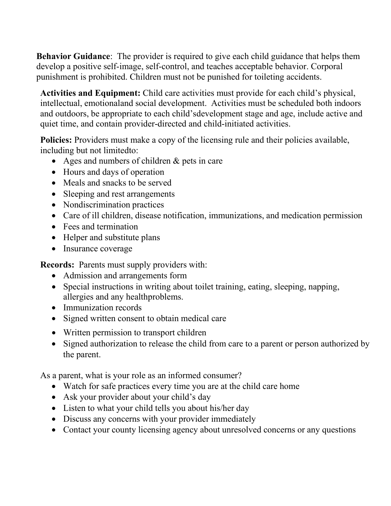**Behavior Guidance**: The provider is required to give each child guidance that helps them develop a positive self-image, self-control, and teaches acceptable behavior. Corporal punishment is prohibited. Children must not be punished for toileting accidents.

**Activities and Equipment:** Child care activities must provide for each child's physical, intellectual, emotionaland social development. Activities must be scheduled both indoors and outdoors, be appropriate to each child'sdevelopment stage and age, include active and quiet time, and contain provider-directed and child-initiated activities.

**Policies:** Providers must make a copy of the licensing rule and their policies available, including but not limitedto:

- Ages and numbers of children & pets in care
- Hours and days of operation
- Meals and snacks to be served
- Sleeping and rest arrangements
- Nondiscrimination practices
- Care of ill children, disease notification, immunizations, and medication permission
- Fees and termination
- Helper and substitute plans
- Insurance coverage

**Records:** Parents must supply providers with:

- Admission and arrangements form
- Special instructions in writing about toilet training, eating, sleeping, napping, allergies and any healthproblems.
- Immunization records
- Signed written consent to obtain medical care
- Written permission to transport children
- Signed authorization to release the child from care to a parent or person authorized by the parent.

As a parent, what is your role as an informed consumer?

- Watch for safe practices every time you are at the child care home
- Ask your provider about your child's day
- Listen to what your child tells you about his/her day
- Discuss any concerns with your provider immediately
- Contact your county licensing agency about unresolved concerns or any questions